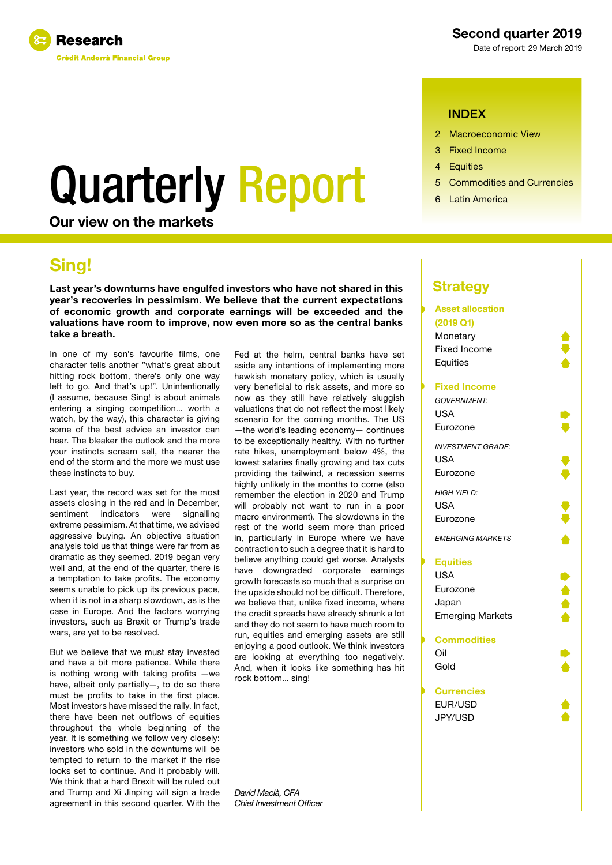

### Second quarter 2019

Date of report: 29 March 2019

### INDEX

- 2 Macroeconomic View
- 3 Fixed Income
- 4 Equities
- 
- 

# Quarterly Report **6 Commodities and Currencies**

Our view on the markets

## Sing!

Last year's downturns have engulfed investors who have not shared in this year's recoveries in pessimism. We believe that the current expectations of economic growth and corporate earnings will be exceeded and the valuations have room to improve, now even more so as the central banks take a breath.

In one of my son's favourite films, one character tells another "what's great about hitting rock bottom, there's only one way left to go. And that's up!". Unintentionally (I assume, because Sing! is about animals entering a singing competition... worth a watch, by the way), this character is giving some of the best advice an investor can hear. The bleaker the outlook and the more your instincts scream sell, the nearer the end of the storm and the more we must use these instincts to buy.

Last year, the record was set for the most assets closing in the red and in December,<br>sentiment indicators were signalling indicators extreme pessimism. At that time, we advised aggressive buying. An objective situation analysis told us that things were far from as dramatic as they seemed. 2019 began very well and, at the end of the quarter, there is a temptation to take profits. The economy seems unable to pick up its previous pace, when it is not in a sharp slowdown, as is the case in Europe. And the factors worrying investors, such as Brexit or Trump's trade wars, are yet to be resolved.

But we believe that we must stay invested and have a bit more patience. While there is nothing wrong with taking profits —we have, albeit only partially—, to do so there must be profits to take in the first place. Most investors have missed the rally. In fact, there have been net outflows of equities throughout the whole beginning of the year. It is something we follow very closely: investors who sold in the downturns will be tempted to return to the market if the rise looks set to continue. And it probably will. We think that a hard Brexit will be ruled out and Trump and Xi Jinping will sign a trade agreement in this second quarter. With the

Fed at the helm, central banks have set aside any intentions of implementing more hawkish monetary policy, which is usually very beneficial to risk assets, and more so now as they still have relatively sluggish valuations that do not reflect the most likely scenario for the coming months. The US —the world's leading economy— continues to be exceptionally healthy. With no further rate hikes, unemployment below 4%, the lowest salaries finally growing and tax cuts providing the tailwind, a recession seems highly unlikely in the months to come (also remember the election in 2020 and Trump will probably not want to run in a poor macro environment). The slowdowns in the rest of the world seem more than priced in, particularly in Europe where we have contraction to such a degree that it is hard to believe anything could get worse. Analysts have downgraded corporate earnings growth forecasts so much that a surprise on the upside should not be difficult. Therefore, we believe that, unlike fixed income, where the credit spreads have already shrunk a lot and they do not seem to have much room to run, equities and emerging assets are still enjoying a good outlook. We think investors are looking at everything too negatively. And, when it looks like something has hit rock bottom... sing!

*David Macià, CFA Chief Investment Officer*

## **Strategy**

### **Asset allocation (2019 Q1)** Monetary Fixed Income **Equities Fixed Income** *GOVERNMENT:* USA Eurozone *INVESTMENT GRADE:* USA Eurozone *HIGH YIELD:*

 $IISA$ Eurozone

*EMERGING MARKETS*

### **Equities**

USA Eurozone Japan Emerging Markets

#### **Commodities**

Oil Gold

#### **Currencies**

EUR/USD JPY/USD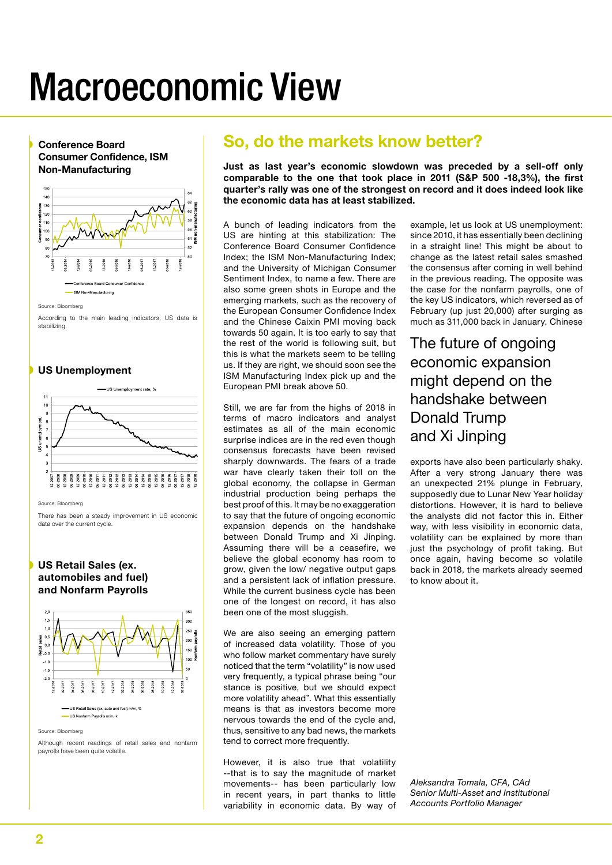## Macroeconomic View

Conference Board Consumer Confidence, ISM Non-Manufacturing 150  $140$  $\frac{8}{120}$  130<br> $\frac{1}{120}$  120  $120$  $110$ Consumer<br>Consumer<br>Consumer  $\overline{a}$ ice Board Consume -ISM Non-Manufacturing

Source: Bloomberg

According to the main leading indicators, US data is stabilizing.

US Unemployment



Source: Bloomberg

There has been a steady improvement in US economic data over the current cycle.

### US Retail Sales (ex. automobiles and fuel) and Nonfarm Payrolls



Source: Bloomberg

Although recent readings of retail sales and nonfarm payrolls have been quite volatile.

## So, do the markets know better?

Just as last year's economic slowdown was preceded by a sell-off only comparable to the one that took place in 2011 (S&P 500 -18,3%), the first quarter's rally was one of the strongest on record and it does indeed look like the economic data has at least stabilized.

A bunch of leading indicators from the US are hinting at this stabilization: The Conference Board Consumer Confidence Index; the ISM Non-Manufacturing Index; and the University of Michigan Consumer Sentiment Index, to name a few. There are also some green shots in Europe and the emerging markets, such as the recovery of the European Consumer Confidence Index and the Chinese Caixin PMI moving back towards 50 again. It is too early to say that the rest of the world is following suit, but this is what the markets seem to be telling us. If they are right, we should soon see the ISM Manufacturing Index pick up and the European PMI break above 50.

Still, we are far from the highs of 2018 in terms of macro indicators and analyst estimates as all of the main economic surprise indices are in the red even though consensus forecasts have been revised sharply downwards. The fears of a trade war have clearly taken their toll on the global economy, the collapse in German industrial production being perhaps the best proof of this. It may be no exaggeration to say that the future of ongoing economic expansion depends on the handshake between Donald Trump and Xi Jinping. Assuming there will be a ceasefire, we believe the global economy has room to grow, given the low/ negative output gaps and a persistent lack of inflation pressure. While the current business cycle has been one of the longest on record, it has also been one of the most sluggish.

We are also seeing an emerging pattern of increased data volatility. Those of you who follow market commentary have surely noticed that the term "volatility" is now used very frequently, a typical phrase being "our stance is positive, but we should expect more volatility ahead". What this essentially means is that as investors become more nervous towards the end of the cycle and, thus, sensitive to any bad news, the markets tend to correct more frequently.

However, it is also true that volatility --that is to say the magnitude of market movements-- has been particularly low in recent years, in part thanks to little variability in economic data. By way of example, let us look at US unemployment: since 2010, it has essentially been declining in a straight line! This might be about to change as the latest retail sales smashed the consensus after coming in well behind in the previous reading. The opposite was the case for the nonfarm payrolls, one of the key US indicators, which reversed as of February (up just 20,000) after surging as much as 311,000 back in January. Chinese

The future of ongoing economic expansion might depend on the handshake between Donald Trump and Xi Jinping

exports have also been particularly shaky. After a very strong January there was an unexpected 21% plunge in February, supposedly due to Lunar New Year holiday distortions. However, it is hard to believe the analysts did not factor this in. Either way, with less visibility in economic data, volatility can be explained by more than just the psychology of profit taking. But once again, having become so volatile back in 2018, the markets already seemed to know about it.

*Aleksandra Tomala, CFA, CAd Senior Multi-Asset and Institutional Accounts Portfolio Manager*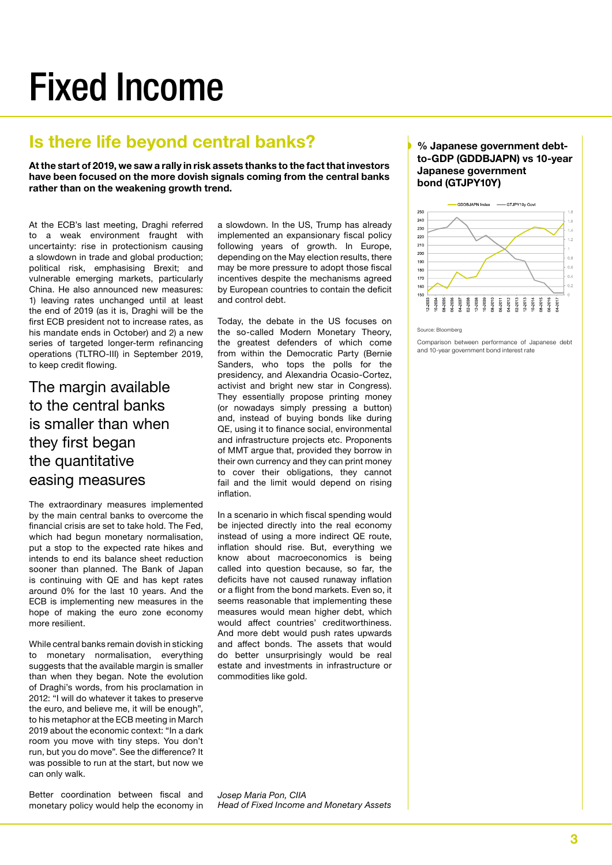## Fixed Income

## Is there life beyond central banks?

At the start of 2019, we saw a rally in risk assets thanks to the fact that investors have been focused on the more dovish signals coming from the central banks rather than on the weakening growth trend.

At the ECB's last meeting, Draghi referred to a weak environment fraught with uncertainty: rise in protectionism causing a slowdown in trade and global production; political risk, emphasising Brexit; and vulnerable emerging markets, particularly China. He also announced new measures: 1) leaving rates unchanged until at least the end of 2019 (as it is, Draghi will be the first ECB president not to increase rates, as his mandate ends in October) and 2) a new series of targeted longer-term refinancing operations (TLTRO-III) in September 2019, to keep credit flowing.

## The margin available to the central banks is smaller than when they first began the quantitative easing measures

The extraordinary measures implemented by the main central banks to overcome the financial crisis are set to take hold. The Fed, which had begun monetary normalisation, put a stop to the expected rate hikes and intends to end its balance sheet reduction sooner than planned. The Bank of Japan is continuing with QE and has kept rates around 0% for the last 10 years. And the ECB is implementing new measures in the hope of making the euro zone economy more resilient.

While central banks remain dovish in sticking to monetary normalisation, everything suggests that the available margin is smaller than when they began. Note the evolution of Draghi's words, from his proclamation in 2012: "I will do whatever it takes to preserve the euro, and believe me, it will be enough", to his metaphor at the ECB meeting in March 2019 about the economic context: "In a dark room you move with tiny steps. You don't run, but you do move". See the difference? It was possible to run at the start, but now we can only walk.

Better coordination between fiscal and monetary policy would help the economy in a slowdown. In the US, Trump has already implemented an expansionary fiscal policy following years of growth. In Europe, depending on the May election results, there may be more pressure to adopt those fiscal incentives despite the mechanisms agreed by European countries to contain the deficit and control debt.

Today, the debate in the US focuses on the so-called Modern Monetary Theory, the greatest defenders of which come from within the Democratic Party (Bernie Sanders, who tops the polls for the presidency, and Alexandria Ocasio-Cortez, activist and bright new star in Congress). They essentially propose printing money (or nowadays simply pressing a button) and, instead of buying bonds like during QE, using it to finance social, environmental and infrastructure projects etc. Proponents of MMT argue that, provided they borrow in their own currency and they can print money to cover their obligations, they cannot fail and the limit would depend on rising inflation.

In a scenario in which fiscal spending would be injected directly into the real economy instead of using a more indirect QE route, inflation should rise. But, everything we know about macroeconomics is being called into question because, so far, the deficits have not caused runaway inflation or a flight from the bond markets. Even so, it seems reasonable that implementing these measures would mean higher debt, which would affect countries' creditworthiness. And more debt would push rates upwards and affect bonds. The assets that would do better unsurprisingly would be real estate and investments in infrastructure or commodities like gold.

### -GDDBJAPN Index - GTJPY10v Gov 250  $240$

Japanese government bond (GTJPY10Y)



% Japanese government debtto-GDP (GDDBJAPN) vs 10-year

Source: Bloomberg

Comparison between performance of Japanese debt and 10-year government bond interest rate

*Josep Maria Pon, CIIA Head of Fixed Income and Monetary Assets*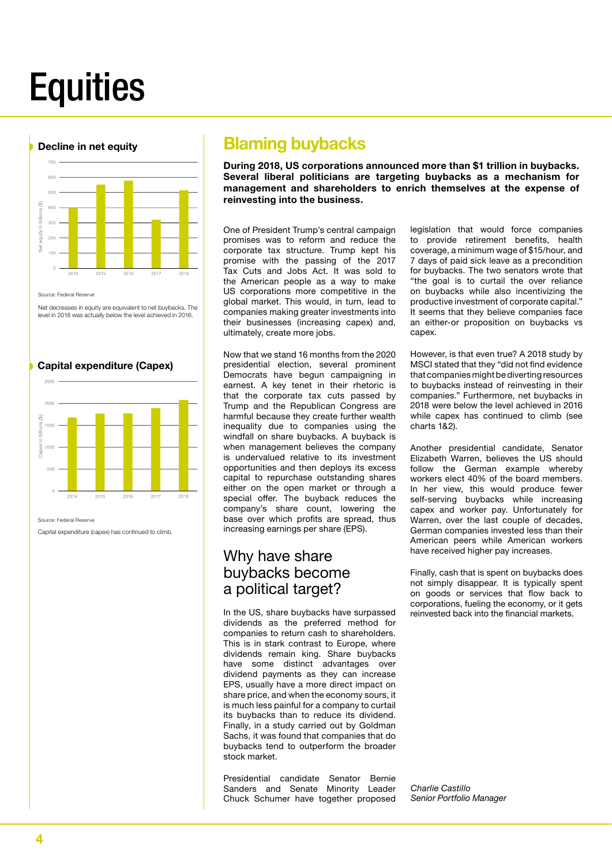## **Equities**



Source: Federal Reserve

Net decreases in equity are equivalent to net buybacks. The level in 2018 was actually below the level achieved in 2016.

#### Capital expenditure (Capex)



Source: Federal Reserve

Capital expenditure (capex) has continued to climb.

## Blaming buybacks

During 2018, US corporations announced more than \$1 trillion in buybacks. Several liberal politicians are targeting buybacks as a mechanism for management and shareholders to enrich themselves at the expense of reinvesting into the business.

One of President Trump's central campaign promises was to reform and reduce the corporate tax structure. Trump kept his promise with the passing of the 2017 Tax Cuts and Jobs Act. It was sold to the American people as a way to make US corporations more competitive in the global market. This would, in turn, lead to companies making greater investments into their businesses (increasing capex) and, ultimately, create more jobs.

Now that we stand 16 months from the 2020 presidential election, several prominent Democrats have begun campaigning in earnest. A key tenet in their rhetoric is that the corporate tax cuts passed by Trump and the Republican Congress are harmful because they create further wealth inequality due to companies using the windfall on share buybacks. A buyback is when management believes the company is undervalued relative to its investment opportunities and then deploys its excess capital to repurchase outstanding shares either on the open market or through a special offer. The buyback reduces the company's share count, lowering the base over which profits are spread, thus increasing earnings per share (EPS).

## Why have share buybacks become a political target?

In the US, share buybacks have surpassed dividends as the preferred method for companies to return cash to shareholders. This is in stark contrast to Europe, where dividends remain king. Share buybacks have some distinct advantages over dividend payments as they can increase EPS, usually have a more direct impact on share price, and when the economy sours, it is much less painful for a company to curtail its buybacks than to reduce its dividend. Finally, in a study carried out by Goldman Sachs, it was found that companies that do buybacks tend to outperform the broader stock market.

Presidential candidate Senator Bernie Sanders and Senate Minority Leader Chuck Schumer have together proposed

legislation that would force companies to provide retirement benefits, health coverage, a minimum wage of \$15/hour, and 7 days of paid sick leave as a precondition for buybacks. The two senators wrote that "the goal is to curtail the over reliance on buybacks while also incentivizing the productive investment of corporate capital." It seems that they believe companies face an either-or proposition on buybacks vs capex.

However, is that even true? A 2018 study by MSCI stated that they "did not find evidence that companies might be diverting resources to buybacks instead of reinvesting in their companies." Furthermore, net buybacks in 2018 were below the level achieved in 2016 while capex has continued to climb (see charts 1&2).

Another presidential candidate, Senator Elizabeth Warren, believes the US should follow the German example whereby workers elect 40% of the board members. In her view, this would produce fewer self-serving buybacks while increasing capex and worker pay. Unfortunately for Warren, over the last couple of decades, German companies invested less than their American peers while American workers have received higher pay increases.

Finally, cash that is spent on buybacks does not simply disappear. It is typically spent on goods or services that flow back to corporations, fueling the economy, or it gets reinvested back into the financial markets.

*Charlie Castillo Senior Portfolio Manager*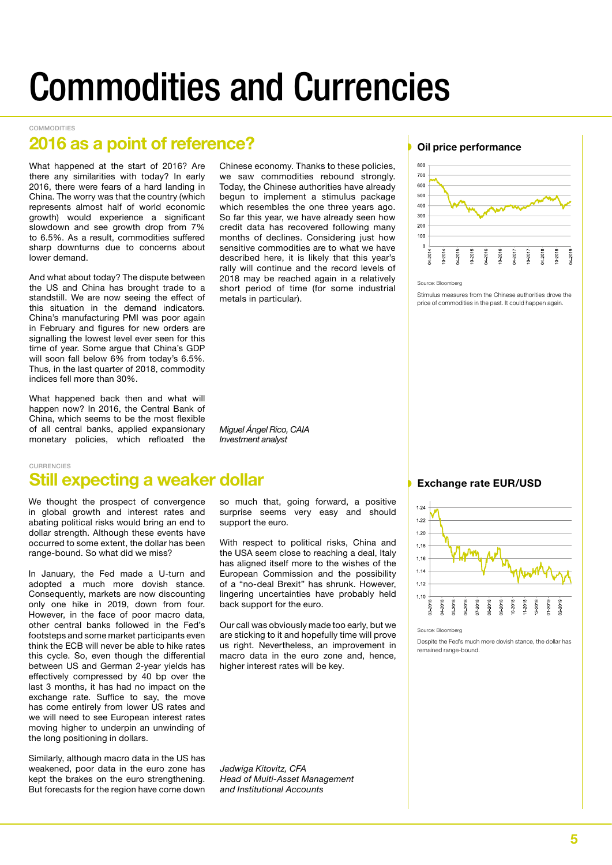## Commodities and Currencies

#### COMMODITIES

## 2016 as a point of reference?

What happened at the start of 2016? Are there any similarities with today? In early 2016, there were fears of a hard landing in China. The worry was that the country (which represents almost half of world economic growth) would experience a significant slowdown and see growth drop from 7% to 6.5%. As a result, commodities suffered sharp downturns due to concerns about lower demand.

And what about today? The dispute between the US and China has brought trade to a standstill. We are now seeing the effect of this situation in the demand indicators. China's manufacturing PMI was poor again in February and figures for new orders are signalling the lowest level ever seen for this time of year. Some argue that China's GDP will soon fall below 6% from today's 6.5%. Thus, in the last quarter of 2018, commodity indices fell more than 30%.

What happened back then and what will happen now? In 2016, the Central Bank of China, which seems to be the most flexible of all central banks, applied expansionary monetary policies, which refloated the

Chinese economy. Thanks to these policies, we saw commodities rebound strongly. Today, the Chinese authorities have already begun to implement a stimulus package which resembles the one three years ago. So far this year, we have already seen how credit data has recovered following many months of declines. Considering just how sensitive commodities are to what we have described here, it is likely that this year's rally will continue and the record levels of 2018 may be reached again in a relatively short period of time (for some industrial metals in particular).



### Still expecting a weaker dollar CURRENCIES

We thought the prospect of convergence in global growth and interest rates and abating political risks would bring an end to dollar strength. Although these events have occurred to some extent, the dollar has been range-bound. So what did we miss?

In January, the Fed made a U-turn and adopted a much more dovish stance. Consequently, markets are now discounting only one hike in 2019, down from four. However, in the face of poor macro data, other central banks followed in the Fed's footsteps and some market participants even think the ECB will never be able to hike rates this cycle. So, even though the differential between US and German 2-year yields has effectively compressed by 40 bp over the last 3 months, it has had no impact on the exchange rate. Suffice to say, the move has come entirely from lower US rates and we will need to see European interest rates moving higher to underpin an unwinding of the long positioning in dollars.

Similarly, although macro data in the US has weakened, poor data in the euro zone has kept the brakes on the euro strengthening. But forecasts for the region have come down

so much that, going forward, a positive surprise seems very easy and should support the euro.

With respect to political risks, China and the USA seem close to reaching a deal, Italy has aligned itself more to the wishes of the European Commission and the possibility of a "no-deal Brexit" has shrunk. However, lingering uncertainties have probably held back support for the euro.

Our call was obviously made too early, but we are sticking to it and hopefully time will prove us right. Nevertheless, an improvement in macro data in the euro zone and, hence, higher interest rates will be key.

*Jadwiga Kitovitz, CFA Head of Multi-Asset Management and Institutional Accounts*

#### Oil price performance



Source: Bloomberg

Stimulus measures from the Chinese authorities drove the price of commodities in the past. It could happen again.

#### Exchange rate EUR/USD



Source: Bloomberg

Despite the Fed's much more dovish stance, the dollar has remained range-bound.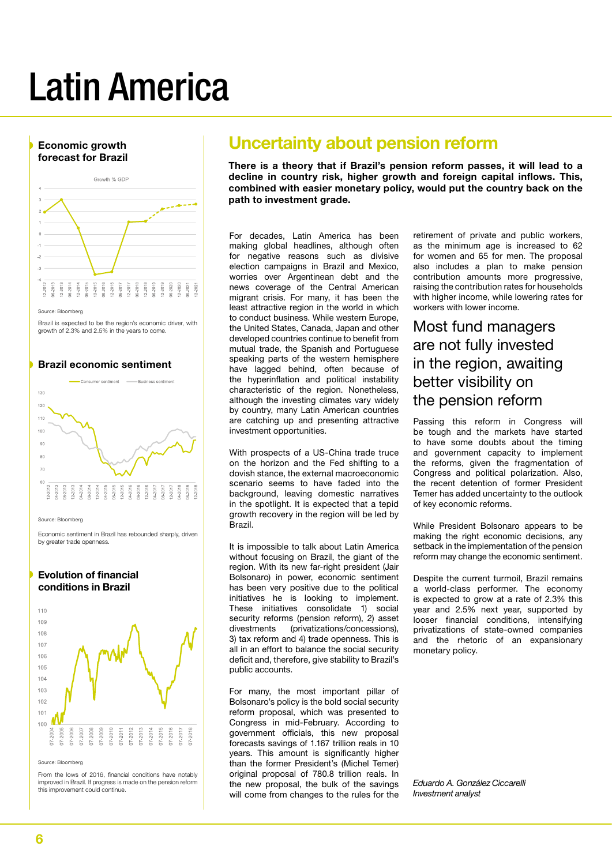## Latin America



e: Bloomberg

Brazil is expected to be the region's economic driver, with growth of 2.3% and 2.5% in the years to come.

#### Brazil economic sentiment



Source: Bloomberg

Economic sentiment in Brazil has rebounded sharply, driven by greater trade openness.

#### Evolution of financial conditions in Brazil



#### Source: Bloomberg

From the lows of 2016, financial conditions have notably improved in Brazil. If progress is made on the pension reform this improvement could continue.

## Uncertainty about pension reform

There is a theory that if Brazil's pension reform passes, it will lead to a decline in country risk, higher growth and foreign capital inflows. This, combined with easier monetary policy, would put the country back on the path to investment grade.

For decades, Latin America has been making global headlines, although often for negative reasons such as divisive election campaigns in Brazil and Mexico, worries over Argentinean debt and the news coverage of the Central American migrant crisis. For many, it has been the least attractive region in the world in which to conduct business. While western Europe, the United States, Canada, Japan and other developed countries continue to benefit from mutual trade, the Spanish and Portuguese speaking parts of the western hemisphere have lagged behind, often because of the hyperinflation and political instability characteristic of the region. Nonetheless, although the investing climates vary widely by country, many Latin American countries are catching up and presenting attractive investment opportunities.

With prospects of a US-China trade truce on the horizon and the Fed shifting to a dovish stance, the external macroeconomic scenario seems to have faded into the background, leaving domestic narratives in the spotlight. It is expected that a tepid growth recovery in the region will be led by Brazil.

It is impossible to talk about Latin America without focusing on Brazil, the giant of the region. With its new far-right president (Jair Bolsonaro) in power, economic sentiment has been very positive due to the political initiatives he is looking to implement. These initiatives consolidate 1) social security reforms (pension reform), 2) asset<br>divestments (privatizations/concessions) (privatizations/concessions). 3) tax reform and 4) trade openness. This is all in an effort to balance the social security deficit and, therefore, give stability to Brazil's public accounts.

For many, the most important pillar of Bolsonaro's policy is the bold social security reform proposal, which was presented to Congress in mid-February. According to government officials, this new proposal forecasts savings of 1.167 trillion reals in 10 years. This amount is significantly higher than the former President's (Michel Temer) original proposal of 780.8 trillion reals. In the new proposal, the bulk of the savings will come from changes to the rules for the

retirement of private and public workers, as the minimum age is increased to 62 for women and 65 for men. The proposal also includes a plan to make pension contribution amounts more progressive, raising the contribution rates for households with higher income, while lowering rates for workers with lower income.

## Most fund managers are not fully invested in the region, awaiting better visibility on the pension reform

Passing this reform in Congress will be tough and the markets have started to have some doubts about the timing and government capacity to implement the reforms, given the fragmentation of Congress and political polarization. Also, the recent detention of former President Temer has added uncertainty to the outlook of key economic reforms.

While President Bolsonaro appears to be making the right economic decisions, any setback in the implementation of the pension reform may change the economic sentiment.

Despite the current turmoil, Brazil remains a world-class performer. The economy is expected to grow at a rate of 2.3% this year and 2.5% next year, supported by looser financial conditions, intensifying privatizations of state-owned companies and the rhetoric of an expansionary monetary policy.

*Eduardo A. González Ciccarelli Investment analyst*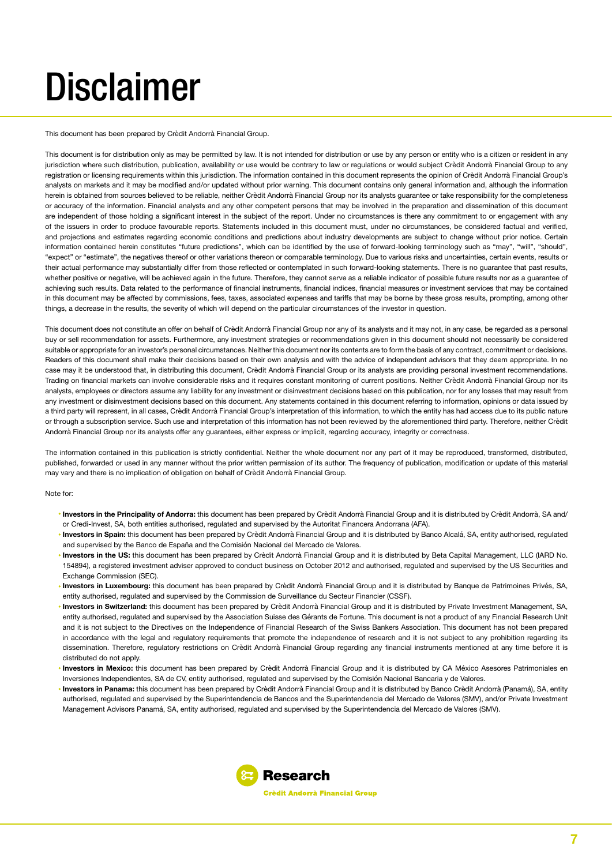## **Disclaimer**

This document has been prepared by Crèdit Andorrà Financial Group.

This document is for distribution only as may be permitted by law. It is not intended for distribution or use by any person or entity who is a citizen or resident in any jurisdiction where such distribution, publication, availability or use would be contrary to law or regulations or would subject Crèdit Andorrà Financial Group to any registration or licensing requirements within this jurisdiction. The information contained in this document represents the opinion of Crèdit Andorrà Financial Group's analysts on markets and it may be modified and/or updated without prior warning. This document contains only general information and, although the information herein is obtained from sources believed to be reliable, neither Crèdit Andorrà Financial Group nor its analysts guarantee or take responsibility for the completeness or accuracy of the information. Financial analysts and any other competent persons that may be involved in the preparation and dissemination of this document are independent of those holding a significant interest in the subject of the report. Under no circumstances is there any commitment to or engagement with any of the issuers in order to produce favourable reports. Statements included in this document must, under no circumstances, be considered factual and verified, and projections and estimates regarding economic conditions and predictions about industry developments are subject to change without prior notice. Certain information contained herein constitutes "future predictions", which can be identified by the use of forward-looking terminology such as "may", "will", "should", "expect" or "estimate", the negatives thereof or other variations thereon or comparable terminology. Due to various risks and uncertainties, certain events, results or their actual performance may substantially differ from those reflected or contemplated in such forward-looking statements. There is no guarantee that past results, whether positive or negative, will be achieved again in the future. Therefore, they cannot serve as a reliable indicator of possible future results nor as a guarantee of achieving such results. Data related to the performance of financial instruments, financial indices, financial measures or investment services that may be contained in this document may be affected by commissions, fees, taxes, associated expenses and tariffs that may be borne by these gross results, prompting, among other things, a decrease in the results, the severity of which will depend on the particular circumstances of the investor in question.

This document does not constitute an offer on behalf of Crèdit Andorrà Financial Group nor any of its analysts and it may not, in any case, be regarded as a personal buy or sell recommendation for assets. Furthermore, any investment strategies or recommendations given in this document should not necessarily be considered suitable or appropriate for an investor's personal circumstances. Neither this document nor its contents are to form the basis of any contract, commitment or decisions. Readers of this document shall make their decisions based on their own analysis and with the advice of independent advisors that they deem appropriate. In no case may it be understood that, in distributing this document, Crèdit Andorrà Financial Group or its analysts are providing personal investment recommendations. Trading on financial markets can involve considerable risks and it requires constant monitoring of current positions. Neither Crèdit Andorrà Financial Group nor its analysts, employees or directors assume any liability for any investment or disinvestment decisions based on this publication, nor for any losses that may result from any investment or disinvestment decisions based on this document. Any statements contained in this document referring to information, opinions or data issued by a third party will represent, in all cases, Crèdit Andorrà Financial Group's interpretation of this information, to which the entity has had access due to its public nature or through a subscription service. Such use and interpretation of this information has not been reviewed by the aforementioned third party. Therefore, neither Crèdit Andorrà Financial Group nor its analysts offer any guarantees, either express or implicit, regarding accuracy, integrity or correctness.

The information contained in this publication is strictly confidential. Neither the whole document nor any part of it may be reproduced, transformed, distributed, published, forwarded or used in any manner without the prior written permission of its author. The frequency of publication, modification or update of this material may vary and there is no implication of obligation on behalf of Crèdit Andorrà Financial Group.

#### Note for:

- **Investors in the Principality of Andorra:** this document has been prepared by Crèdit Andorrà Financial Group and it is distributed by Crèdit Andorrà, SA and/ or Credi-Invest, SA, both entities authorised, regulated and supervised by the Autoritat Financera Andorrana (AFA).
- **Investors in Spain:** this document has been prepared by Crèdit Andorrà Financial Group and it is distributed by Banco Alcalá, SA, entity authorised, regulated and supervised by the Banco de España and the Comisión Nacional del Mercado de Valores.
- **Investors in the US:** this document has been prepared by Crèdit Andorrà Financial Group and it is distributed by Beta Capital Management, LLC (IARD No. 154894), a registered investment adviser approved to conduct business on October 2012 and authorised, regulated and supervised by the US Securities and Exchange Commission (SEC).
- **Investors in Luxembourg:** this document has been prepared by Crèdit Andorrà Financial Group and it is distributed by Banque de Patrimoines Privés, SA, entity authorised, regulated and supervised by the Commission de Surveillance du Secteur Financier (CSSF).
- **Investors in Switzerland:** this document has been prepared by Crèdit Andorrà Financial Group and it is distributed by Private Investment Management, SA, entity authorised, regulated and supervised by the Association Suisse des Gérants de Fortune. This document is not a product of any Financial Research Unit and it is not subject to the Directives on the Independence of Financial Research of the Swiss Bankers Association. This document has not been prepared in accordance with the legal and regulatory requirements that promote the independence of research and it is not subject to any prohibition regarding its dissemination. Therefore, regulatory restrictions on Crèdit Andorrà Financial Group regarding any financial instruments mentioned at any time before it is distributed do not apply.
- **Investors in Mexico:** this document has been prepared by Crèdit Andorrà Financial Group and it is distributed by CA México Asesores Patrimoniales en Inversiones Independientes, SA de CV, entity authorised, regulated and supervised by the Comisión Nacional Bancaria y de Valores.
- **Investors in Panama:** this document has been prepared by Crèdit Andorrà Financial Group and it is distributed by Banco Crèdit Andorrà (Panamá), SA, entity authorised, regulated and supervised by the Superintendencia de Bancos and the Superintendencia del Mercado de Valores (SMV), and/or Private Investment Management Advisors Panamá, SA, entity authorised, regulated and supervised by the Superintendencia del Mercado de Valores (SMV).